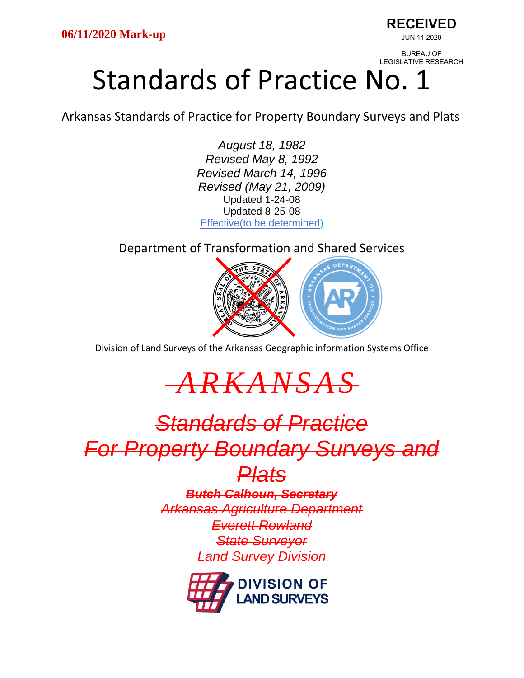**RECEIVED** JUN 11 2020

BUREAU OF LEGISLATIVE RESEARCH

# Standards of Practice No. 1

Arkansas Standards of Practice for Property Boundary Surveys and Plats

*August 18, 1982 Revised May 8, 1992 Revised March 14, 1996 Revised (May 21, 2009)* Updated 1-24-08 Updated 8-25-08 Effective(to be determined)

Department of Transformation and Shared Services



Division of Land Surveys of the Arkansas Geographic information Systems Office

*A R K A N S A S*

## *Standards of Practice For Property Boundary Surveys and*

### *Plats*

*Butch Calhoun, Secretary Arkansas Agriculture Department Everett Rowland State Surveyor Land Survey Division*

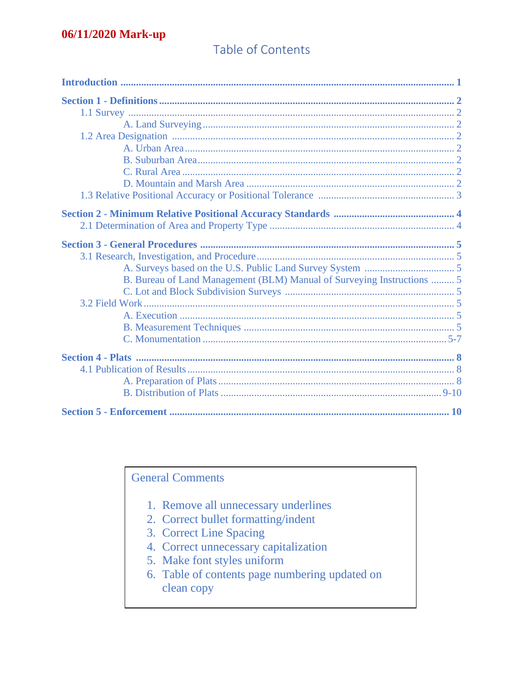#### Table of Contents

| B. Bureau of Land Management (BLM) Manual of Surveying Instructions  5 |  |
|------------------------------------------------------------------------|--|
|                                                                        |  |
|                                                                        |  |
|                                                                        |  |
|                                                                        |  |
|                                                                        |  |
|                                                                        |  |
|                                                                        |  |
|                                                                        |  |
|                                                                        |  |
|                                                                        |  |
|                                                                        |  |

**General Comments** 

- 1. Remove all unnecessary underlines
- 2. Correct bullet formatting/indent
- 3. Correct Line Spacing
- 4. Correct unnecessary capitalization
- 5. Make font styles uniform
- 6. Table of contents page numbering updated on clean copy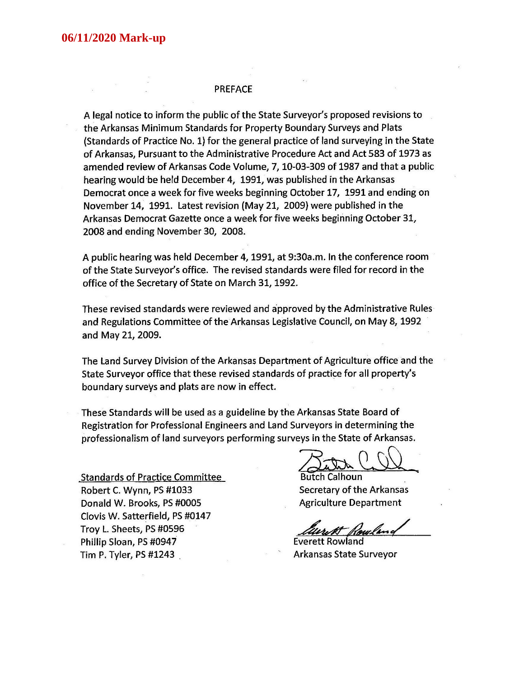#### **PREFACE**

A legal notice to inform the public of the State Surveyor's proposed revisions to the Arkansas Minimum Standards for Property Boundary Surveys and Plats (Standards of Practice No. 1) for the general practice of land surveying in the State of Arkansas, Pursuant to the Administrative Procedure Act and Act 583 of 1973 as amended review of Arkansas Code Volume, 7, 10-03-309 of 1987 and that a public hearing would be held December 4, 1991, was published in the Arkansas Democrat once a week for five weeks beginning October 17, 1991 and ending on November 14, 1991. Latest revision (May 21, 2009) were published in the Arkansas Democrat Gazette once a week for five weeks beginning October 31, 2008 and ending November 30, 2008.

A public hearing was held December 4, 1991, at 9:30a.m. In the conference room of the State Surveyor's office. The revised standards were filed for record in the office of the Secretary of State on March 31, 1992.

These revised standards were reviewed and approved by the Administrative Rules and Regulations Committee of the Arkansas Legislative Council, on May 8, 1992 and May 21, 2009.

The Land Survey Division of the Arkansas Department of Agriculture office and the State Surveyor office that these revised standards of practice for all property's boundary surveys and plats are now in effect.

These Standards will be used as a guideline by the Arkansas State Board of Registration for Professional Engineers and Land Surveyors in determining the professionalism of land surveyors performing surveys in the State of Arkansas.

**Standards of Practice Committee** Robert C. Wynn, PS #1033 Donald W. Brooks, PS #0005 Clovis W. Satterfield, PS #0147 Troy L. Sheets, PS #0596 Phillip Sloan, PS #0947 Tim P. Tyler, PS  $#1243$ 

**Butch Calhoun** Secretary of the Arkansas **Agriculture Department** 

**Everett Rowland** Arkansas State Surveyor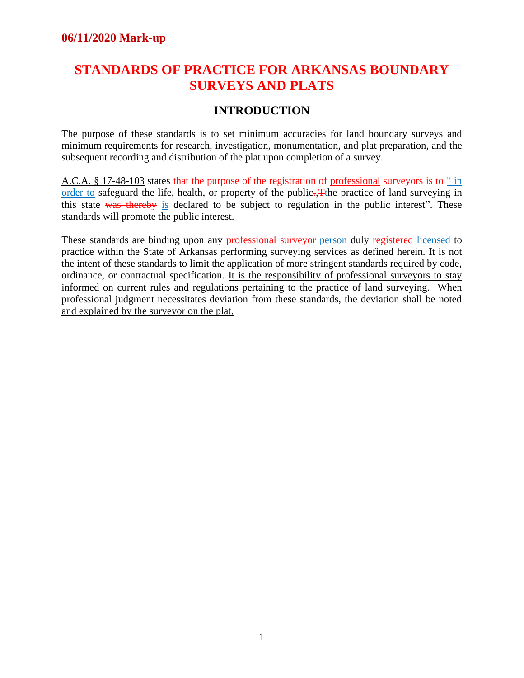#### **STANDARDS OF PRACTICE FOR ARKANSAS BOUNDARY SURVEYS AND PLATS**

#### **INTRODUCTION**

The purpose of these standards is to set minimum accuracies for land boundary surveys and minimum requirements for research, investigation, monumentation, and plat preparation, and the subsequent recording and distribution of the plat upon completion of a survey.

A.C.A. § 17-48-103 states that the purpose of the registration of professional surveyors is to " in order to safeguard the life, health, or property of the public. The practice of land surveying in this state was thereby is declared to be subject to regulation in the public interest". These standards will promote the public interest.

These standards are binding upon any **professional surveyor** person duly registered licensed to practice within the State of Arkansas performing surveying services as defined herein. It is not the intent of these standards to limit the application of more stringent standards required by code, ordinance, or contractual specification. It is the responsibility of professional surveyors to stay informed on current rules and regulations pertaining to the practice of land surveying. When professional judgment necessitates deviation from these standards, the deviation shall be noted and explained by the surveyor on the plat.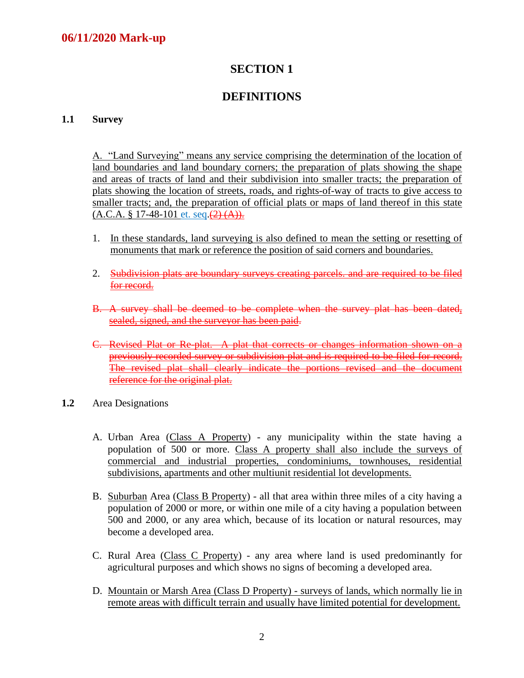#### **DEFINITIONS**

#### **1.1 Survey**

A. "Land Surveying" means any service comprising the determination of the location of land boundaries and land boundary corners; the preparation of plats showing the shape and areas of tracts of land and their subdivision into smaller tracts; the preparation of plats showing the location of streets, roads, and rights-of-way of tracts to give access to smaller tracts; and, the preparation of official plats or maps of land thereof in this state  $(A.C.A. § 17-48-101 et. seq. (2) (A)).$ 

- 1. In these standards, land surveying is also defined to mean the setting or resetting of monuments that mark or reference the position of said corners and boundaries.
- 2. Subdivision plats are boundary surveys creating parcels, and are required to be filed for record.
- B. A survey shall be deemed to be complete when the survey plat has been dated, sealed, signed, and the surveyor has been paid.
- C. Revised Plat or Re-plat. A plat that corrects or changes information shown on a previously recorded survey or subdivision plat and is required to be filed for record. The revised plat shall clearly indicate the portions revised and the document reference for the original plat.
- **1.2** Area Designations
	- A. Urban Area (Class A Property) any municipality within the state having a population of 500 or more. Class A property shall also include the surveys of commercial and industrial properties, condominiums, townhouses, residential subdivisions, apartments and other multiunit residential lot developments.
	- B. Suburban Area (Class B Property) all that area within three miles of a city having a population of 2000 or more, or within one mile of a city having a population between 500 and 2000, or any area which, because of its location or natural resources, may become a developed area.
	- C. Rural Area (Class C Property) any area where land is used predominantly for agricultural purposes and which shows no signs of becoming a developed area.
	- D. Mountain or Marsh Area (Class D Property) surveys of lands, which normally lie in remote areas with difficult terrain and usually have limited potential for development.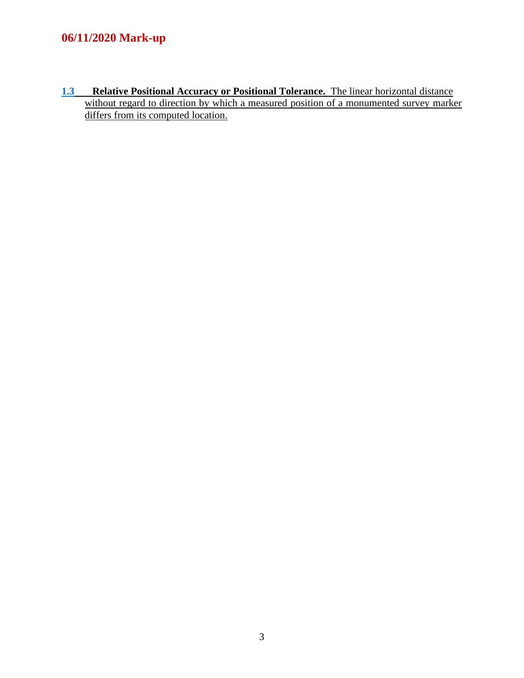**1.3 Relative Positional Accuracy or Positional Tolerance.** The linear horizontal distance without regard to direction by which a measured position of a monumented survey marker differs from its computed location.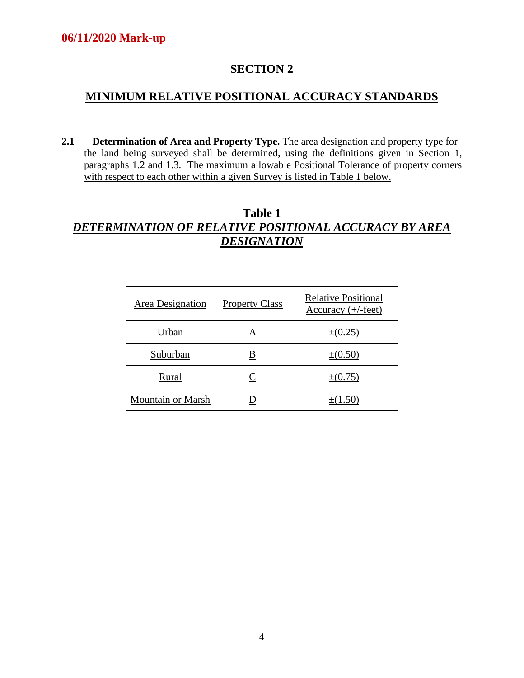#### **MINIMUM RELATIVE POSITIONAL ACCURACY STANDARDS**

**2.1 Determination of Area and Property Type.** The area designation and property type for the land being surveyed shall be determined, using the definitions given in Section 1, paragraphs 1.2 and 1.3. The maximum allowable Positional Tolerance of property corners with respect to each other within a given Survey is listed in Table 1 below.

#### **Table 1** *DETERMINATION OF RELATIVE POSITIONAL ACCURACY BY AREA DESIGNATION*

| Area Designation         | <b>Property Class</b> | <b>Relative Positional</b><br>Accuracy $(+/-$ feet) |
|--------------------------|-----------------------|-----------------------------------------------------|
| Urban                    | A                     | $\pm (0.25)$                                        |
| Suburban                 | <u>B</u>              | $\pm(0.50)$                                         |
| Rural                    | C                     | $\pm (0.75)$                                        |
| <b>Mountain or Marsh</b> |                       | $+(1.50)$                                           |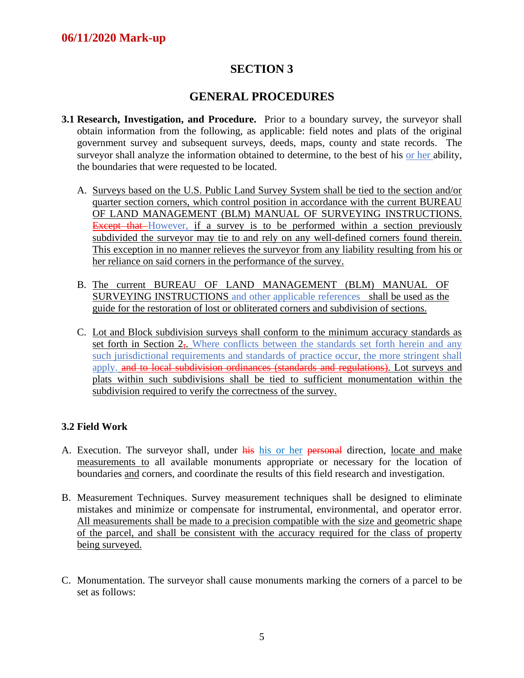#### **GENERAL PROCEDURES**

- **3.1 Research, Investigation, and Procedure.** Prior to a boundary survey, the surveyor shall obtain information from the following, as applicable: field notes and plats of the original government survey and subsequent surveys, deeds, maps, county and state records. The surveyor shall analyze the information obtained to determine, to the best of his or her ability, the boundaries that were requested to be located.
	- A. Surveys based on the U.S. Public Land Survey System shall be tied to the section and/or quarter section corners, which control position in accordance with the current BUREAU OF LAND MANAGEMENT (BLM) MANUAL OF SURVEYING INSTRUCTIONS. **Except that** However, if a survey is to be performed within a section previously subdivided the surveyor may tie to and rely on any well-defined corners found therein. This exception in no manner relieves the surveyor from any liability resulting from his or her reliance on said corners in the performance of the survey.
	- B. The current BUREAU OF LAND MANAGEMENT (BLM) MANUAL OF SURVEYING INSTRUCTIONS and other applicable references shall be used as the guide for the restoration of lost or obliterated corners and subdivision of sections.
	- C. Lot and Block subdivision surveys shall conform to the minimum accuracy standards as set forth in Section 2–. Where conflicts between the standards set forth herein and any such jurisdictional requirements and standards of practice occur, the more stringent shall apply. and to local subdivision ordinances (standards and regulations). Lot surveys and plats within such subdivisions shall be tied to sufficient monumentation within the subdivision required to verify the correctness of the survey.

#### **3.2 Field Work**

- A. Execution. The surveyor shall, under his his or her personal direction, locate and make measurements to all available monuments appropriate or necessary for the location of boundaries and corners, and coordinate the results of this field research and investigation.
- B. Measurement Techniques. Survey measurement techniques shall be designed to eliminate mistakes and minimize or compensate for instrumental, environmental, and operator error. All measurements shall be made to a precision compatible with the size and geometric shape of the parcel, and shall be consistent with the accuracy required for the class of property being surveyed.
- C. Monumentation. The surveyor shall cause monuments marking the corners of a parcel to be set as follows: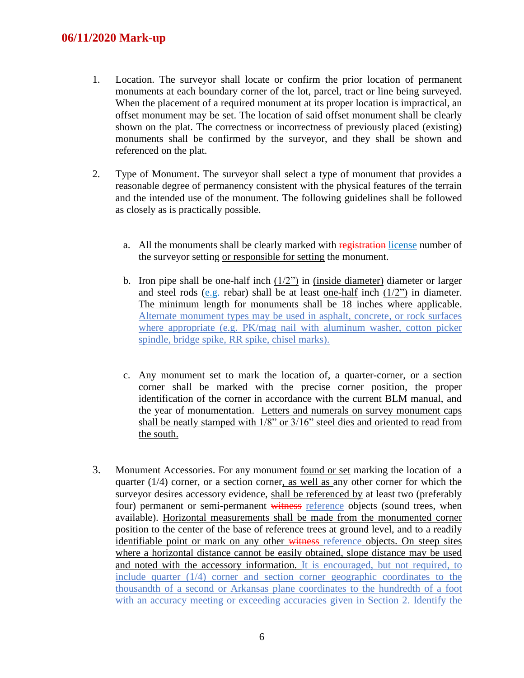- 1. Location. The surveyor shall locate or confirm the prior location of permanent monuments at each boundary corner of the lot, parcel, tract or line being surveyed. When the placement of a required monument at its proper location is impractical, an offset monument may be set. The location of said offset monument shall be clearly shown on the plat. The correctness or incorrectness of previously placed (existing) monuments shall be confirmed by the surveyor, and they shall be shown and referenced on the plat.
- 2. Type of Monument. The surveyor shall select a type of monument that provides a reasonable degree of permanency consistent with the physical features of the terrain and the intended use of the monument. The following guidelines shall be followed as closely as is practically possible.
	- a. All the monuments shall be clearly marked with registration license number of the surveyor setting or responsible for setting the monument.
	- b. Iron pipe shall be one-half inch  $(1/2)$  in (inside diameter) diameter or larger and steel rods (e.g. rebar) shall be at least one-half inch  $(1/2)$  in diameter. The minimum length for monuments shall be 18 inches where applicable. Alternate monument types may be used in asphalt, concrete, or rock surfaces where appropriate (e.g. PK/mag nail with aluminum washer, cotton picker spindle, bridge spike, RR spike, chisel marks).
	- c. Any monument set to mark the location of, a quarter-corner, or a section corner shall be marked with the precise corner position, the proper identification of the corner in accordance with the current BLM manual, and the year of monumentation. Letters and numerals on survey monument caps shall be neatly stamped with 1/8" or 3/16" steel dies and oriented to read from the south.
- 3. Monument Accessories. For any monument found or set marking the location of a quarter  $(1/4)$  corner, or a section corner, as well as any other corner for which the surveyor desires accessory evidence, shall be referenced by at least two (preferably four) permanent or semi-permanent witness reference objects (sound trees, when available). Horizontal measurements shall be made from the monumented corner position to the center of the base of reference trees at ground level, and to a readily identifiable point or mark on any other witness reference objects. On steep sites where a horizontal distance cannot be easily obtained, slope distance may be used and noted with the accessory information. It is encouraged, but not required, to include quarter (1/4) corner and section corner geographic coordinates to the thousandth of a second or Arkansas plane coordinates to the hundredth of a foot with an accuracy meeting or exceeding accuracies given in Section 2. Identify the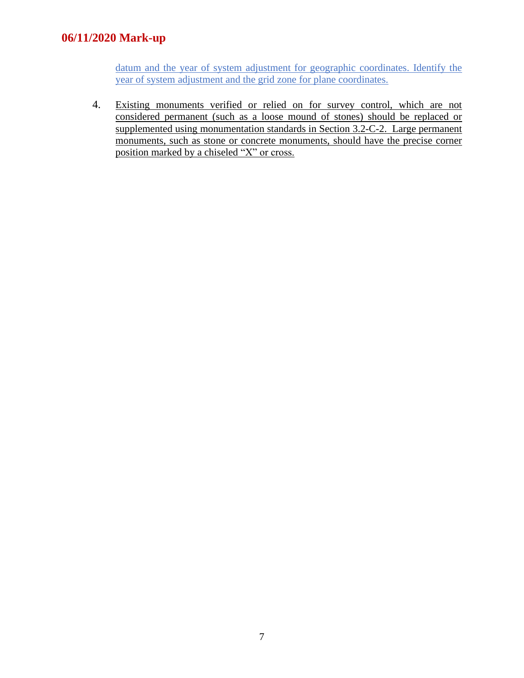datum and the year of system adjustment for geographic coordinates. Identify the year of system adjustment and the grid zone for plane coordinates.

4. Existing monuments verified or relied on for survey control, which are not considered permanent (such as a loose mound of stones) should be replaced or supplemented using monumentation standards in Section 3.2-C-2. Large permanent monuments, such as stone or concrete monuments, should have the precise corner position marked by a chiseled "X" or cross.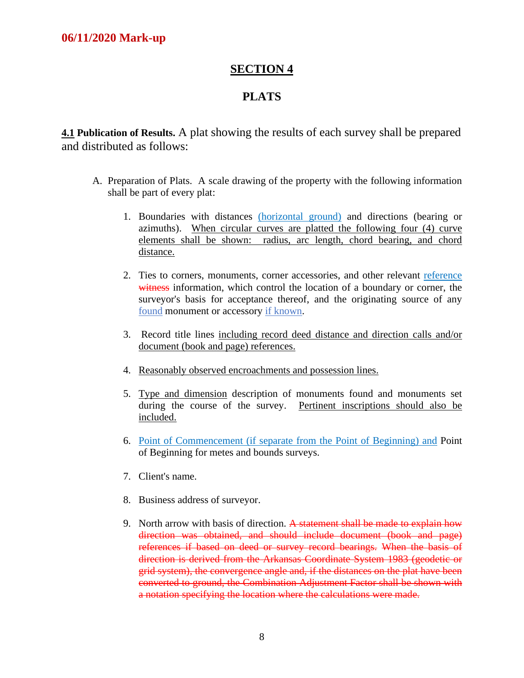#### **PLATS**

**4.1 Publication of Results.** A plat showing the results of each survey shall be prepared and distributed as follows:

- A. Preparation of Plats. A scale drawing of the property with the following information shall be part of every plat:
	- 1. Boundaries with distances (horizontal ground) and directions (bearing or azimuths). When circular curves are platted the following four (4) curve elements shall be shown: radius, arc length, chord bearing, and chord distance.
	- 2. Ties to corners, monuments, corner accessories, and other relevant reference witness information, which control the location of a boundary or corner, the surveyor's basis for acceptance thereof, and the originating source of any found monument or accessory if known.
	- 3. Record title lines including record deed distance and direction calls and/or document (book and page) references.
	- 4. Reasonably observed encroachments and possession lines.
	- 5. Type and dimension description of monuments found and monuments set during the course of the survey. Pertinent inscriptions should also be included.
	- 6. Point of Commencement (if separate from the Point of Beginning) and Point of Beginning for metes and bounds surveys.
	- 7. Client's name.
	- 8. Business address of surveyor.
	- 9. North arrow with basis of direction. A statement shall be made to explain how direction was obtained, and should include document (book and page) references if based on deed or survey record bearings. When the basis of direction is derived from the Arkansas Coordinate System 1983 (geodetic or grid system), the convergence angle and, if the distances on the plat have been converted to ground, the Combination Adjustment Factor shall be shown with a notation specifying the location where the calculations were made.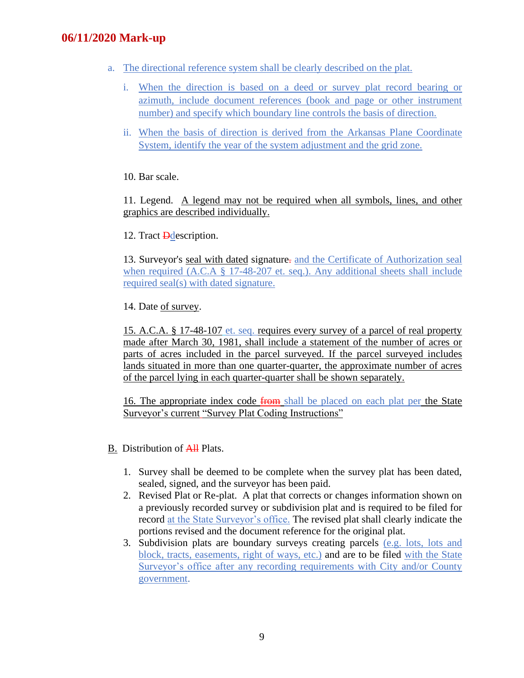- a. The directional reference system shall be clearly described on the plat.
	- i. When the direction is based on a deed or survey plat record bearing or azimuth, include document references (book and page or other instrument number) and specify which boundary line controls the basis of direction.
	- ii. When the basis of direction is derived from the Arkansas Plane Coordinate System, identify the year of the system adjustment and the grid zone.

10. Bar scale.

11. Legend. A legend may not be required when all symbols, lines, and other graphics are described individually.

12. Tract **D**description.

13. Surveyor's seal with dated signature. and the Certificate of Authorization seal when required (A.C.A § 17-48-207 et. seq.). Any additional sheets shall include required seal(s) with dated signature.

14. Date of survey.

15. A.C.A. § 17-48-107 et. seq. requires every survey of a parcel of real property made after March 30, 1981, shall include a statement of the number of acres or parts of acres included in the parcel surveyed. If the parcel surveyed includes lands situated in more than one quarter-quarter, the approximate number of acres of the parcel lying in each quarter-quarter shall be shown separately.

16. The appropriate index code from shall be placed on each plat per the State Surveyor's current "Survey Plat Coding Instructions"

- B. Distribution of All Plats.
	- 1. Survey shall be deemed to be complete when the survey plat has been dated, sealed, signed, and the surveyor has been paid.
	- 2. Revised Plat or Re-plat. A plat that corrects or changes information shown on a previously recorded survey or subdivision plat and is required to be filed for record at the State Surveyor's office. The revised plat shall clearly indicate the portions revised and the document reference for the original plat.
	- 3. Subdivision plats are boundary surveys creating parcels (e.g. lots, lots and block, tracts, easements, right of ways, etc.) and are to be filed with the State Surveyor's office after any recording requirements with City and/or County government.